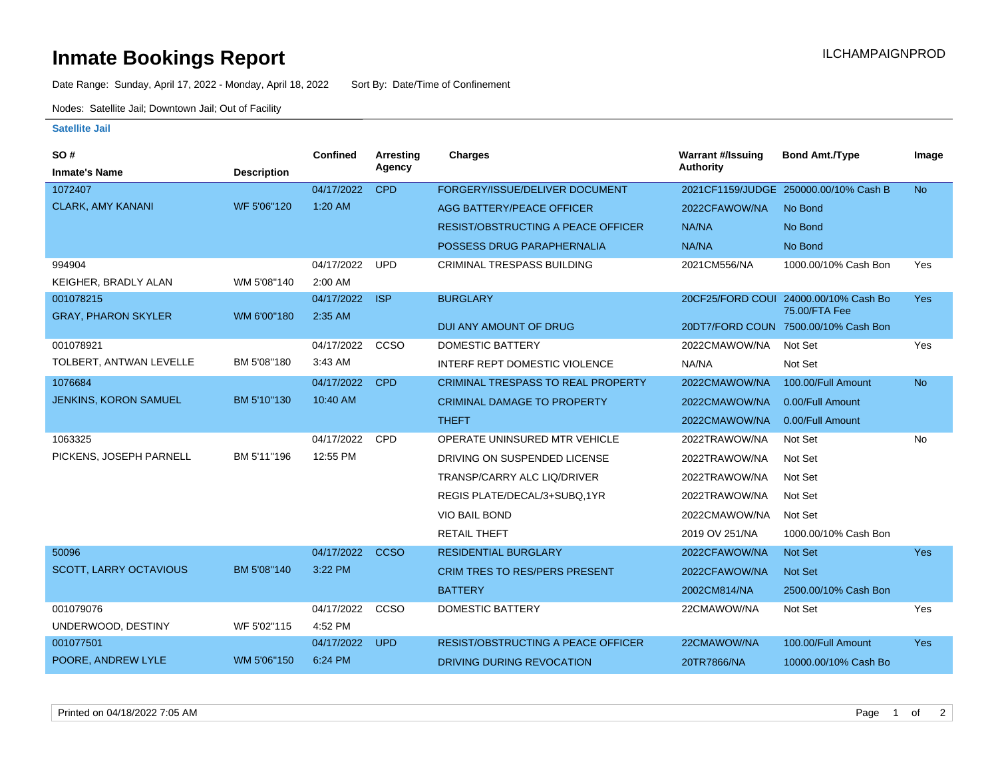## **Inmate Bookings Report International Contract Contract Contract Contract Contract Contract Contract Contract Contract Contract Contract Contract Contract Contract Contract Contract Contract Contract Contract Contract Co**

Date Range: Sunday, April 17, 2022 - Monday, April 18, 2022 Sort By: Date/Time of Confinement

Nodes: Satellite Jail; Downtown Jail; Out of Facility

## **Satellite Jail**

| SO#                           |                    | <b>Confined</b> | Arresting   | Charges                                   | <b>Warrant #/Issuing</b> | <b>Bond Amt./Type</b>                                 | Image      |
|-------------------------------|--------------------|-----------------|-------------|-------------------------------------------|--------------------------|-------------------------------------------------------|------------|
| <b>Inmate's Name</b>          | <b>Description</b> |                 | Agency      |                                           | <b>Authority</b>         |                                                       |            |
| 1072407                       |                    | 04/17/2022      | <b>CPD</b>  | FORGERY/ISSUE/DELIVER DOCUMENT            |                          | 2021CF1159/JUDGE 250000.00/10% Cash B                 | <b>No</b>  |
| <b>CLARK, AMY KANANI</b>      | WF 5'06"120        | 1:20 AM         |             | AGG BATTERY/PEACE OFFICER                 | 2022CFAWOW/NA            | No Bond                                               |            |
|                               |                    |                 |             | <b>RESIST/OBSTRUCTING A PEACE OFFICER</b> | NA/NA                    | No Bond                                               |            |
|                               |                    |                 |             | POSSESS DRUG PARAPHERNALIA                | NA/NA                    | No Bond                                               |            |
| 994904                        |                    | 04/17/2022      | <b>UPD</b>  | <b>CRIMINAL TRESPASS BUILDING</b>         | 2021CM556/NA             | 1000.00/10% Cash Bon                                  | Yes        |
| KEIGHER, BRADLY ALAN          | WM 5'08"140        | 2:00 AM         |             |                                           |                          |                                                       |            |
| 001078215                     |                    | 04/17/2022      | <b>ISP</b>  | <b>BURGLARY</b>                           |                          | 20CF25/FORD COUI 24000.00/10% Cash Bo                 | <b>Yes</b> |
| <b>GRAY, PHARON SKYLER</b>    | WM 6'00"180        | 2:35 AM         |             | DUI ANY AMOUNT OF DRUG                    |                          | 75.00/FTA Fee<br>20DT7/FORD COUN 7500.00/10% Cash Bon |            |
| 001078921                     |                    | 04/17/2022      | CCSO        | <b>DOMESTIC BATTERY</b>                   | 2022CMAWOW/NA            | Not Set                                               | Yes        |
| TOLBERT, ANTWAN LEVELLE       | BM 5'08"180        | 3:43 AM         |             |                                           |                          |                                                       |            |
|                               |                    |                 |             | INTERF REPT DOMESTIC VIOLENCE             | NA/NA                    | Not Set                                               |            |
| 1076684                       |                    | 04/17/2022      | <b>CPD</b>  | <b>CRIMINAL TRESPASS TO REAL PROPERTY</b> | 2022CMAWOW/NA            | 100.00/Full Amount                                    | <b>No</b>  |
| <b>JENKINS, KORON SAMUEL</b>  | BM 5'10"130        | 10:40 AM        |             | <b>CRIMINAL DAMAGE TO PROPERTY</b>        | 2022CMAWOW/NA            | 0.00/Full Amount                                      |            |
|                               |                    |                 |             | <b>THEFT</b>                              | 2022CMAWOW/NA            | 0.00/Full Amount                                      |            |
| 1063325                       |                    | 04/17/2022      | <b>CPD</b>  | OPERATE UNINSURED MTR VEHICLE             | 2022TRAWOW/NA            | Not Set                                               | No         |
| PICKENS, JOSEPH PARNELL       | BM 5'11"196        | 12:55 PM        |             | DRIVING ON SUSPENDED LICENSE              | 2022TRAWOW/NA            | Not Set                                               |            |
|                               |                    |                 |             | TRANSP/CARRY ALC LIQ/DRIVER               | 2022TRAWOW/NA            | Not Set                                               |            |
|                               |                    |                 |             | REGIS PLATE/DECAL/3+SUBQ,1YR              | 2022TRAWOW/NA            | Not Set                                               |            |
|                               |                    |                 |             | <b>VIO BAIL BOND</b>                      | 2022CMAWOW/NA            | Not Set                                               |            |
|                               |                    |                 |             | <b>RETAIL THEFT</b>                       | 2019 OV 251/NA           | 1000.00/10% Cash Bon                                  |            |
| 50096                         |                    | 04/17/2022      | <b>CCSO</b> | <b>RESIDENTIAL BURGLARY</b>               | 2022CFAWOW/NA            | <b>Not Set</b>                                        | <b>Yes</b> |
| <b>SCOTT, LARRY OCTAVIOUS</b> | BM 5'08"140        | 3:22 PM         |             | <b>CRIM TRES TO RES/PERS PRESENT</b>      | 2022CFAWOW/NA            | Not Set                                               |            |
|                               |                    |                 |             | <b>BATTERY</b>                            | 2002CM814/NA             | 2500.00/10% Cash Bon                                  |            |
| 001079076                     |                    | 04/17/2022      | CCSO        | <b>DOMESTIC BATTERY</b>                   | 22CMAWOW/NA              | Not Set                                               | Yes        |
| UNDERWOOD, DESTINY            | WF 5'02"115        | 4:52 PM         |             |                                           |                          |                                                       |            |
| 001077501                     |                    | 04/17/2022      | <b>UPD</b>  | <b>RESIST/OBSTRUCTING A PEACE OFFICER</b> | 22CMAWOW/NA              | 100.00/Full Amount                                    | <b>Yes</b> |
| POORE, ANDREW LYLE            | WM 5'06"150        | 6:24 PM         |             | DRIVING DURING REVOCATION                 | 20TR7866/NA              | 10000.00/10% Cash Bo                                  |            |